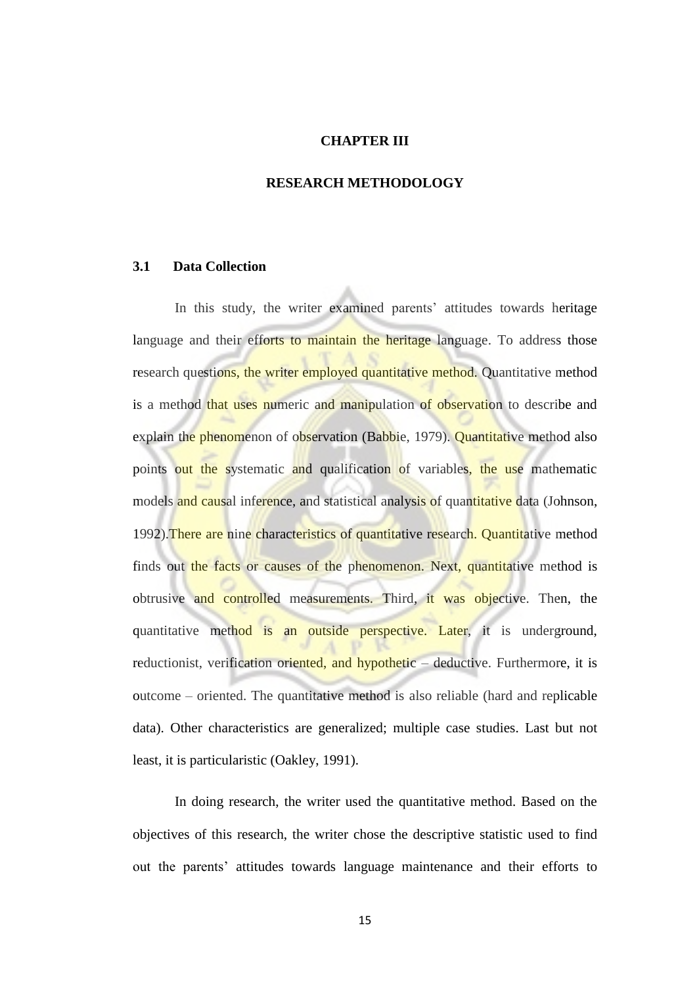### **CHAPTER III**

#### **RESEARCH METHODOLOGY**

## **3.1 Data Collection**

In this study, the writer examined parents' attitudes towards heritage language and their efforts to maintain the heritage language. To address those research questions, the writer employed quantitative method. Quantitative method is a method that uses numeric and manipulation of observation to describe and explain the phenomenon of observation (Babbie, 1979). Quantitative method also points out the systematic and qualification of variables, the use mathematic models and causal inference, and statistical analysis of quantitative data (Johnson, 1992).There are nine characteristics of quantitative research. Quantitative method finds out the facts or causes of the phenomenon. Next, quantitative method is obtrusive and controlled measurements. Third, it was objective. Then, the quantitative method is an outside perspective. Later, it is underground, reductionist, verification oriented, and hypothetic – deductive. Furthermore, it is outcome – oriented. The quantitative method is also reliable (hard and replicable data). Other characteristics are generalized; multiple case studies. Last but not least, it is particularistic (Oakley, 1991).

In doing research, the writer used the quantitative method. Based on the objectives of this research, the writer chose the descriptive statistic used to find out the parents' attitudes towards language maintenance and their efforts to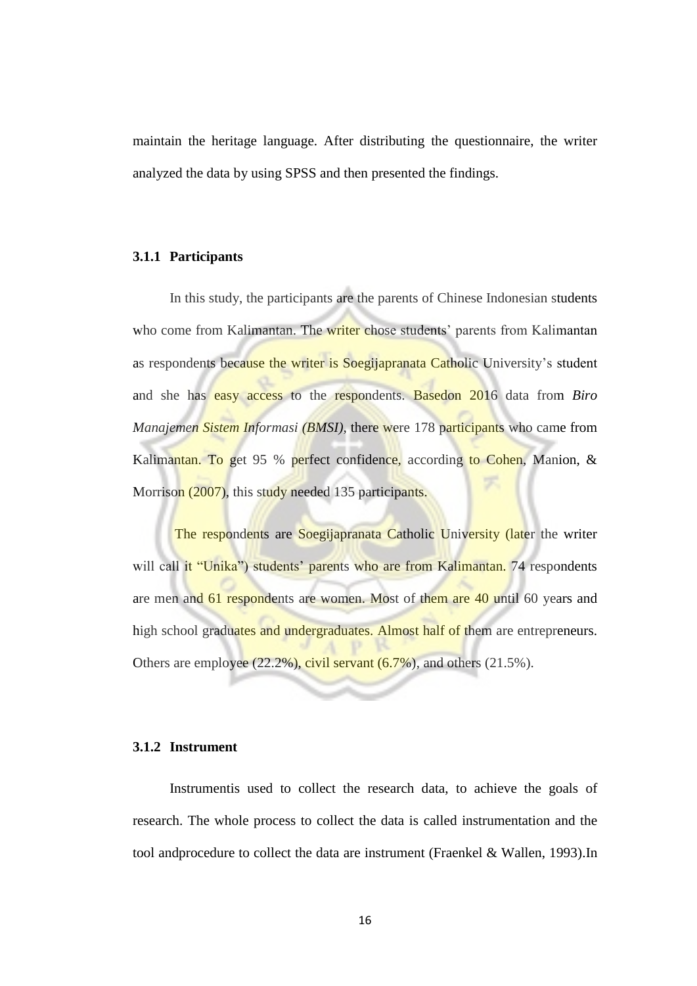maintain the heritage language. After distributing the questionnaire, the writer analyzed the data by using SPSS and then presented the findings.

#### **3.1.1 Participants**

 In this study, the participants are the parents of Chinese Indonesian students who come from Kalimantan. The writer chose students' parents from Kalimantan as respondents because the writer is Soegijapranata Catholic University's student and she has easy access to the respondents. Basedon 2016 data from *Biro Manajemen Sistem Informasi (BMSI),* there were 178 participants who came from Kalimantan. To get 95 % perfect confidence, according to Cohen, Manion, & Morrison (2007), this study needed 135 participants.

The respondents are Soegijapranata Catholic University (later the writer will call it "Unika") students' parents who are from Kalimantan. 74 respondents are men and 61 respondents are women. Most of them are 40 until 60 years and high school graduates and undergraduates. Almost half of them are entrepreneurs. Others are employee  $(22.2\%)$ , civil servant  $(6.7\%)$ , and others  $(21.5\%)$ .

#### **3.1.2 Instrument**

Instrumentis used to collect the research data, to achieve the goals of research. The whole process to collect the data is called instrumentation and the tool andprocedure to collect the data are instrument (Fraenkel & Wallen, 1993).In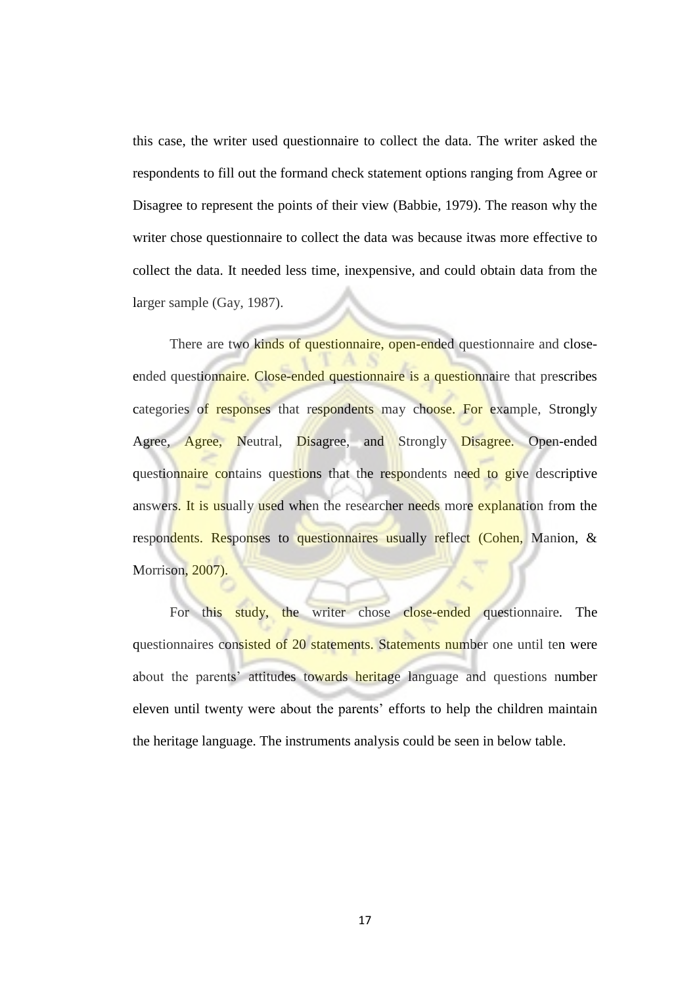this case, the writer used questionnaire to collect the data. The writer asked the respondents to fill out the formand check statement options ranging from Agree or Disagree to represent the points of their view (Babbie, 1979). The reason why the writer chose questionnaire to collect the data was because itwas more effective to collect the data. It needed less time, inexpensive, and could obtain data from the larger sample (Gay, 1987).

There are two kinds of questionnaire, open-ended questionnaire and closeended questionnaire. Close-ended questionnaire is a questionnaire that prescribes categories of responses that respondents may choose. For example, Strongly Agree, Agree, Neutral, Disagree, and Strongly Disagree. Open-ended questionnaire contains questions that the respondents need to give descriptive answers. It is usually used when the researcher needs more explanation from the respondents. Responses to questionnaires usually reflect (Cohen, Manion, & Morrison, 2007).

For this study, the writer chose close-ended questionnaire. The questionnaires consisted of 20 statements. Statements number one until ten were about the parents' attitudes towards heritage language and questions number eleven until twenty were about the parents' efforts to help the children maintain the heritage language. The instruments analysis could be seen in below table.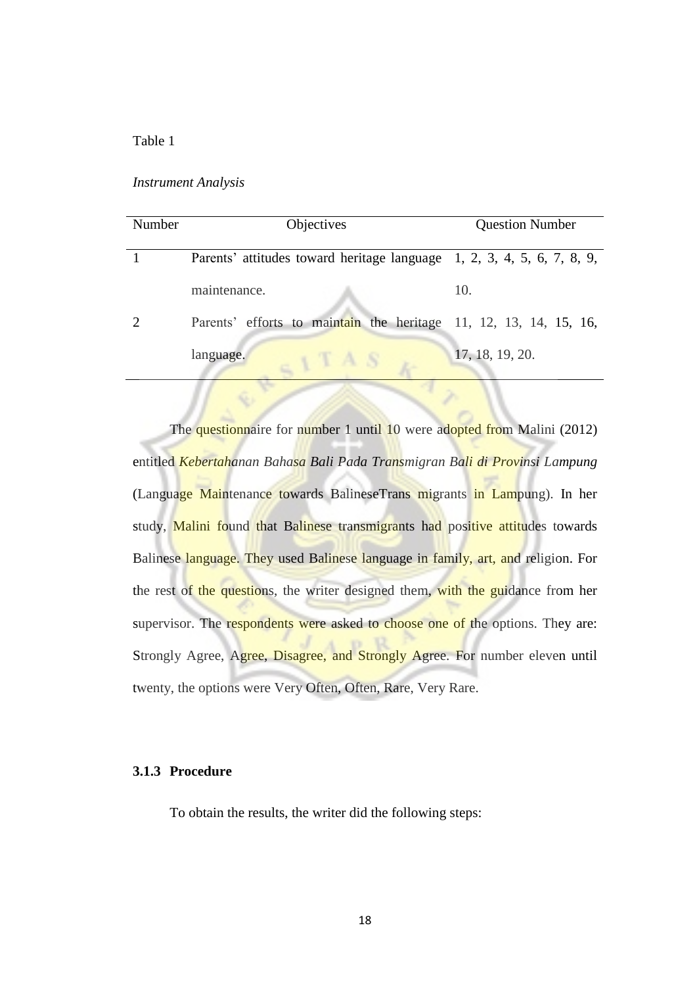## Table 1

#### *Instrument Analysis*

| Number | Objectives                                                             | <b>Question Number</b> |  |
|--------|------------------------------------------------------------------------|------------------------|--|
|        | Parents' attitudes toward heritage language 1, 2, 3, 4, 5, 6, 7, 8, 9, |                        |  |
|        | maintenance.                                                           | 10.                    |  |
|        | Parents' efforts to maintain the heritage 11, 12, 13, 14, 15, 16,      |                        |  |
|        | language.                                                              | 17, 18, 19, 20.        |  |

The questionnaire for number 1 until 10 were adopted from Malini (2012) entitled *Kebertahanan Bahasa Bali Pada Transmigran Bali di Provinsi Lampung*  (Language Maintenance towards BalineseTrans migrants in Lampung). In her study, Malini found that Balinese transmigrants had positive attitudes towards Balinese language. They used Balinese language in family, art, and religion. For the rest of the questions, the writer designed them, with the guidance from her supervisor. The respondents were asked to choose one of the options. They are: Strongly Agree, Agree, Disagree, and Strongly Agree. For number eleven until twenty, the options were Very Often, Often, Rare, Very Rare.

## **3.1.3 Procedure**

To obtain the results, the writer did the following steps: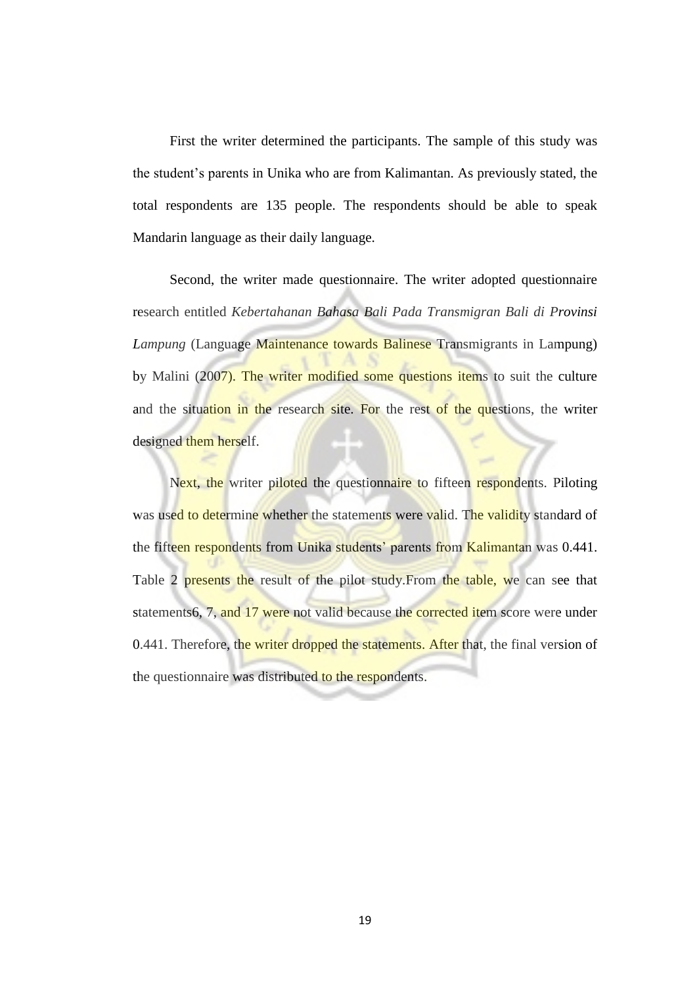First the writer determined the participants. The sample of this study was the student's parents in Unika who are from Kalimantan. As previously stated, the total respondents are 135 people. The respondents should be able to speak Mandarin language as their daily language.

 Second, the writer made questionnaire. The writer adopted questionnaire research entitled *Kebertahanan Bahasa Bali Pada Transmigran Bali di Provinsi Lampung* (Language Maintenance towards Balinese Transmigrants in Lampung) by Malini (2007). The writer modified some questions items to suit the culture and the situation in the research site. For the rest of the questions, the writer designed them herself.

Next, the writer piloted the questionnaire to fifteen respondents. Piloting was used to determine whether the statements were valid. The validity standard of the fifteen respondents from Unika students' parents from Kalimantan was 0.441. Table 2 presents the result of the pilot study. From the table, we can see that statements6, 7, and 17 were not valid because the corrected item score were under 0.441. Therefore, the writer dropped the statements. After that, the final version of the questionnaire was distributed to the respondents.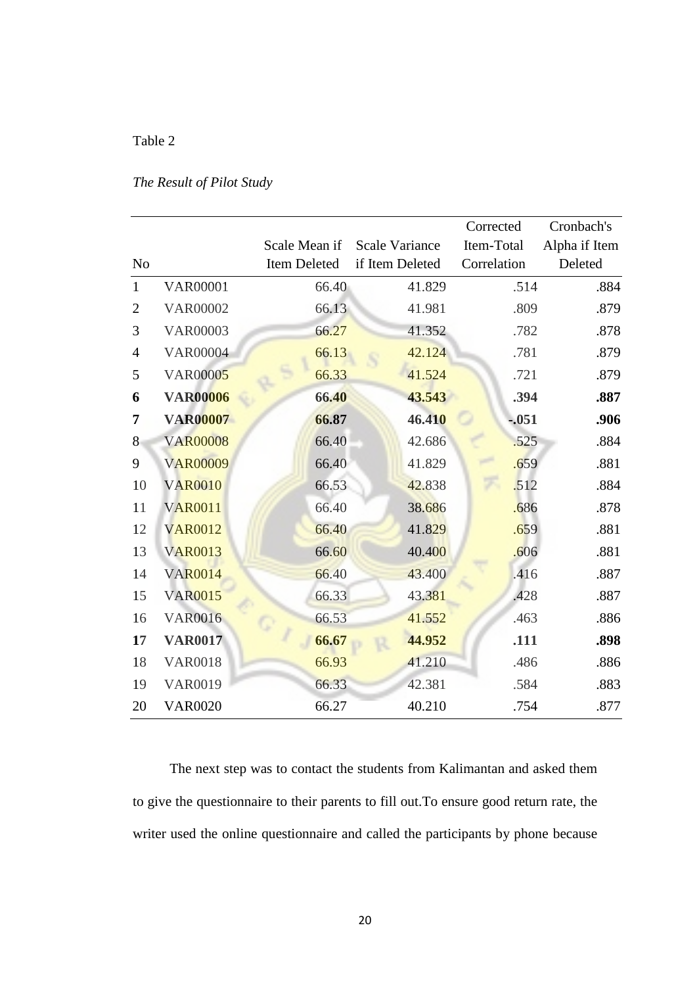# Table 2

## *The Result of Pilot Study*

|                |                 |               |                       | Corrected   | Cronbach's    |
|----------------|-----------------|---------------|-----------------------|-------------|---------------|
|                |                 | Scale Mean if | <b>Scale Variance</b> | Item-Total  | Alpha if Item |
| N <sub>o</sub> |                 | Item Deleted  | if Item Deleted       | Correlation | Deleted       |
| $\mathbf{1}$   | <b>VAR00001</b> | 66.40         | 41.829                | .514        | .884          |
| $\overline{2}$ | <b>VAR00002</b> | 66.13         | 41.981                | .809        | .879          |
| 3              | <b>VAR00003</b> | 66.27         | 41.352                | .782        | .878          |
| $\overline{4}$ | <b>VAR00004</b> | 66.13         | 42.124                | .781        | .879          |
| 5              | <b>VAR00005</b> | 66.33         | 41.524                | .721        | .879          |
| 6              | <b>VAR00006</b> | 66.40         | 43.543                | .394        | .887          |
| 7              | <b>VAR00007</b> | 66.87         | 46.410                | $-.051$     | .906          |
| 8              | <b>VAR00008</b> | 66.40         | 42.686                | .525        | .884          |
| 9              | <b>VAR00009</b> | 66.40         | 41.829                | .659        | .881          |
| 10             | <b>VAR0010</b>  | 66.53         | 42.838                | .512        | .884          |
| 11             | <b>VAR0011</b>  | 66.40         | 38.686                | .686        | .878          |
| 12             | <b>VAR0012</b>  | 66.40         | 41.829                | .659        | .881          |
| 13             | <b>VAR0013</b>  | 66.60         | 40.400                | .606        | .881          |
| 14             | <b>VAR0014</b>  | 66.40         | 43.400                | .416        | .887          |
| 15             | <b>VAR0015</b>  | 66.33         | 43.381                | .428        | .887          |
| 16             | <b>VAR0016</b>  | 66.53         | 41.552                | .463        | .886          |
| 17             | <b>VAR0017</b>  | 66.67         | 44.952                | .111        | .898          |
| 18             | <b>VAR0018</b>  | 66.93         | 41.210                | .486        | .886          |
| 19             | <b>VAR0019</b>  | 66.33         | 42.381                | .584        | .883          |
| 20             | <b>VAR0020</b>  | 66.27         | 40.210                | .754        | .877          |

 The next step was to contact the students from Kalimantan and asked them to give the questionnaire to their parents to fill out.To ensure good return rate, the writer used the online questionnaire and called the participants by phone because